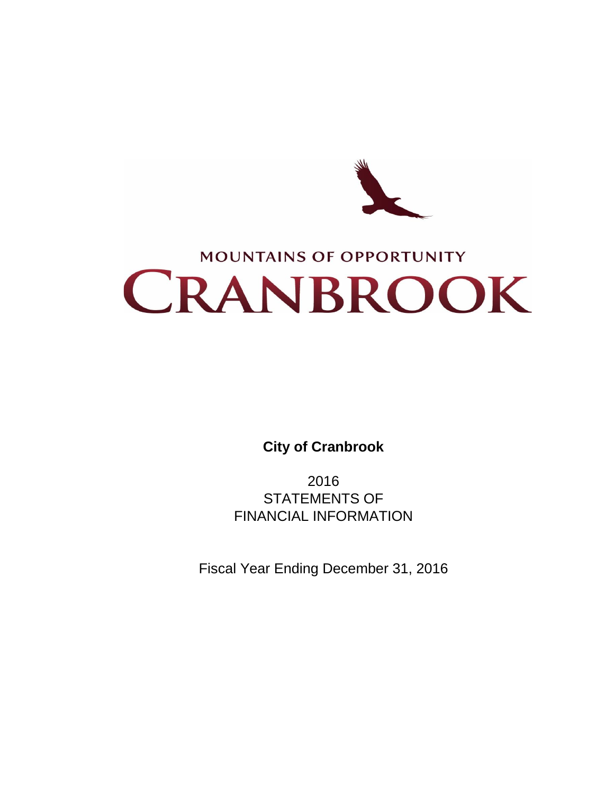

# **MOUNTAINS OF OPPORTUNITY** CRANBROOK

**City of Cranbrook**

2016 STATEMENTS OF FINANCIAL INFORMATION

Fiscal Year Ending December 31, 2016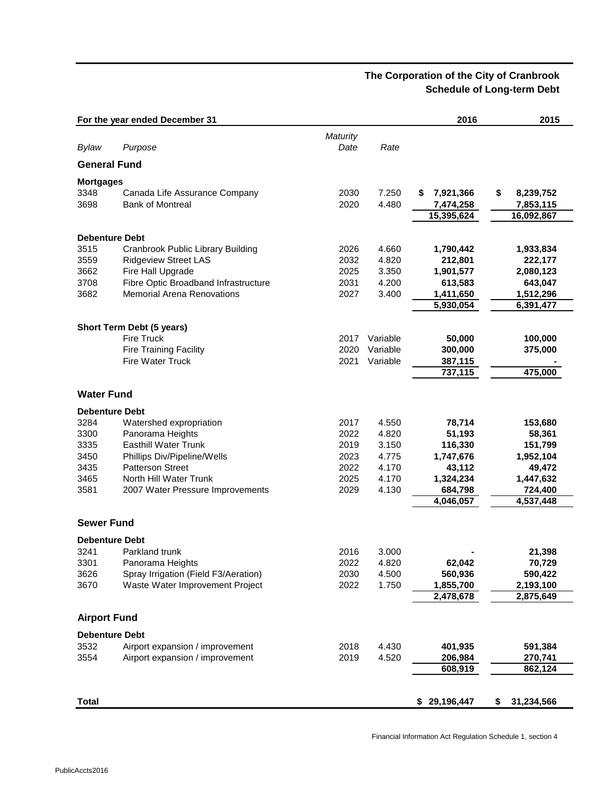# **The Corporation of the City of Cranbrook Schedule of Long-term Debt**

|                       | For the year ended December 31       |          |          | 2016           | 2015             |
|-----------------------|--------------------------------------|----------|----------|----------------|------------------|
|                       |                                      | Maturity |          |                |                  |
| Bylaw                 | Purpose                              | Date     | Rate     |                |                  |
| <b>General Fund</b>   |                                      |          |          |                |                  |
| <b>Mortgages</b>      |                                      |          |          |                |                  |
| 3348                  | Canada Life Assurance Company        | 2030     | 7.250    | 7,921,366<br>S | \$<br>8,239,752  |
| 3698                  | <b>Bank of Montreal</b>              | 2020     | 4.480    | 7,474,258      | 7,853,115        |
|                       |                                      |          |          | 15,395,624     | 16,092,867       |
| <b>Debenture Debt</b> |                                      |          |          |                |                  |
| 3515                  | Cranbrook Public Library Building    | 2026     | 4.660    | 1,790,442      | 1,933,834        |
| 3559                  | <b>Ridgeview Street LAS</b>          | 2032     | 4.820    | 212,801        | 222,177          |
| 3662                  | Fire Hall Upgrade                    | 2025     | 3.350    | 1,901,577      | 2,080,123        |
| 3708                  | Fibre Optic Broadband Infrastructure | 2031     | 4.200    | 613,583        | 643,047          |
| 3682                  | <b>Memorial Arena Renovations</b>    | 2027     | 3.400    | 1,411,650      | 1,512,296        |
|                       |                                      |          |          | 5,930,054      | 6,391,477        |
|                       | Short Term Debt (5 years)            |          |          |                |                  |
|                       | <b>Fire Truck</b>                    | 2017     | Variable | 50,000         | 100,000          |
|                       | <b>Fire Training Facility</b>        | 2020     | Variable | 300,000        | 375,000          |
|                       | <b>Fire Water Truck</b>              | 2021     | Variable | 387,115        |                  |
|                       |                                      |          |          | 737,115        | 475,000          |
| <b>Water Fund</b>     |                                      |          |          |                |                  |
| <b>Debenture Debt</b> |                                      |          |          |                |                  |
| 3284                  | Watershed expropriation              | 2017     | 4.550    | 78,714         | 153,680          |
| 3300                  | Panorama Heights                     | 2022     | 4.820    | 51,193         | 58,361           |
| 3335                  | <b>Easthill Water Trunk</b>          | 2019     | 3.150    | 116,330        | 151,799          |
| 3450                  | Phillips Div/Pipeline/Wells          | 2023     | 4.775    | 1,747,676      | 1,952,104        |
| 3435                  | <b>Patterson Street</b>              | 2022     | 4.170    | 43,112         | 49,472           |
| 3465                  | North Hill Water Trunk               | 2025     | 4.170    | 1,324,234      | 1,447,632        |
| 3581                  | 2007 Water Pressure Improvements     | 2029     | 4.130    | 684,798        | 724,400          |
|                       |                                      |          |          | 4,046,057      | 4,537,448        |
| <b>Sewer Fund</b>     |                                      |          |          |                |                  |
| <b>Debenture Debt</b> |                                      |          |          |                |                  |
| 3241                  | Parkland trunk                       | 2016     | 3.000    |                | 21,398           |
| 3301                  | Panorama Heights                     | 2022     | 4.820    | 62,042         | 70,729           |
| 3626                  | Spray Irrigation (Field F3/Aeration) | 2030     | 4.500    | 560,936        | 590,422          |
| 3670                  | Waste Water Improvement Project      | 2022     | 1.750    | 1,855,700      | 2,193,100        |
|                       |                                      |          |          | 2,478,678      | 2,875,649        |
| <b>Airport Fund</b>   |                                      |          |          |                |                  |
| <b>Debenture Debt</b> |                                      |          |          |                |                  |
| 3532                  | Airport expansion / improvement      | 2018     | 4.430    | 401,935        | 591,384          |
| 3554                  | Airport expansion / improvement      | 2019     | 4.520    | 206,984        | 270,741          |
|                       |                                      |          |          | 608,919        | 862,124          |
|                       |                                      |          |          |                |                  |
| <b>Total</b>          |                                      |          |          | \$29,196,447   | 31,234,566<br>\$ |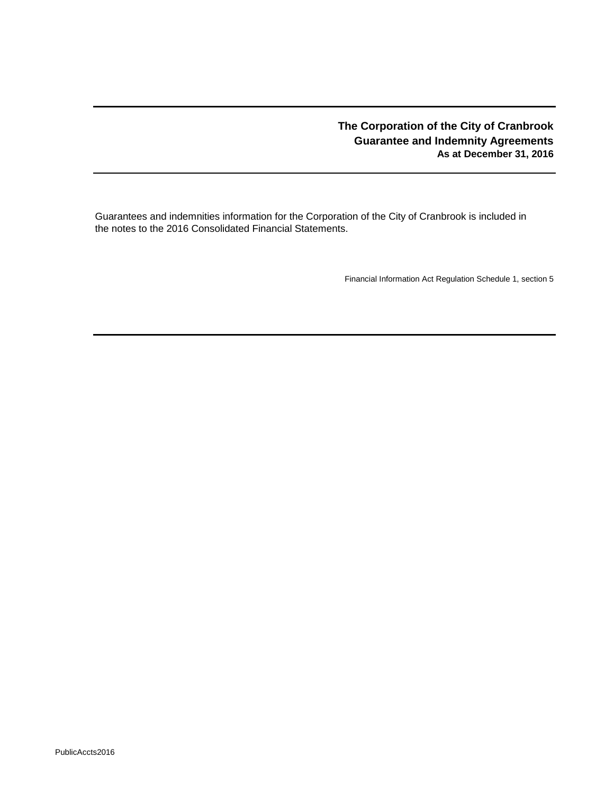# **The Corporation of the City of Cranbrook Guarantee and Indemnity Agreements As at December 31, 2016**

Guarantees and indemnities information for the Corporation of the City of Cranbrook is included in the notes to the 2016 Consolidated Financial Statements.

Financial Information Act Regulation Schedule 1, section 5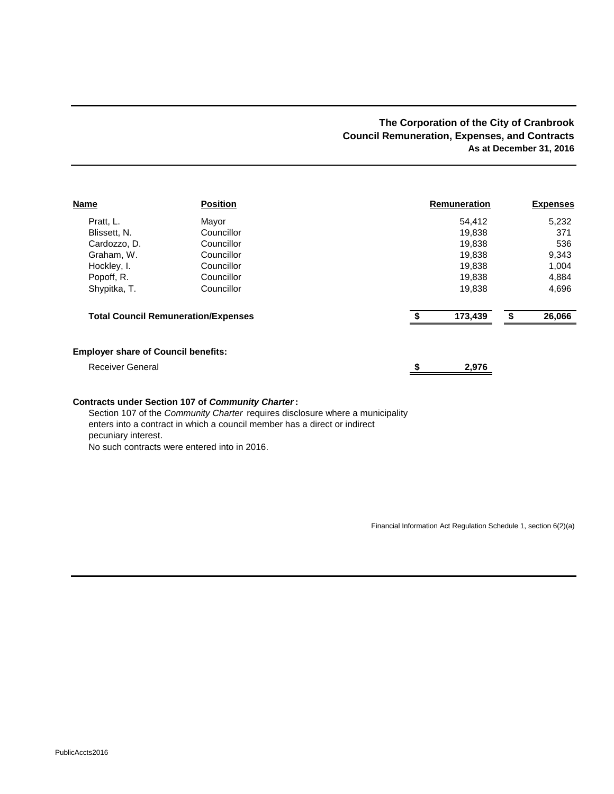## **The Corporation of the City of Cranbrook Council Remuneration, Expenses, and Contracts As at December 31, 2016**

| <b>Name</b>                                | <b>Position</b>                            | <b>Remuneration</b> | <b>Expenses</b> |
|--------------------------------------------|--------------------------------------------|---------------------|-----------------|
| Pratt, L.                                  | Mayor                                      | 54,412              | 5,232           |
| Blissett, N.                               | Councillor                                 | 19,838              | 371             |
| Cardozzo, D.                               | Councillor                                 | 19.838              | 536             |
| Graham, W.                                 | Councillor                                 | 19,838              | 9,343           |
| Hockley, I.                                | Councillor                                 | 19,838              | 1,004           |
| Popoff, R.                                 | Councillor                                 | 19,838              | 4,884           |
| Shypitka, T.                               | Councillor                                 | 19,838              | 4,696           |
|                                            | <b>Total Council Remuneration/Expenses</b> | 173,439             | 26,066<br>\$    |
| <b>Employer share of Council benefits:</b> |                                            |                     |                 |
| <b>Receiver General</b>                    |                                            | 2,976               |                 |
|                                            |                                            |                     |                 |

#### **Contracts under Section 107 of** *Community Charter***:**

Section 107 of the *Community Charter* requires disclosure where a municipality enters into a contract in which a council member has a direct or indirect pecuniary interest. No such contracts were entered into in 2016.

Financial Information Act Regulation Schedule 1, section 6(2)(a)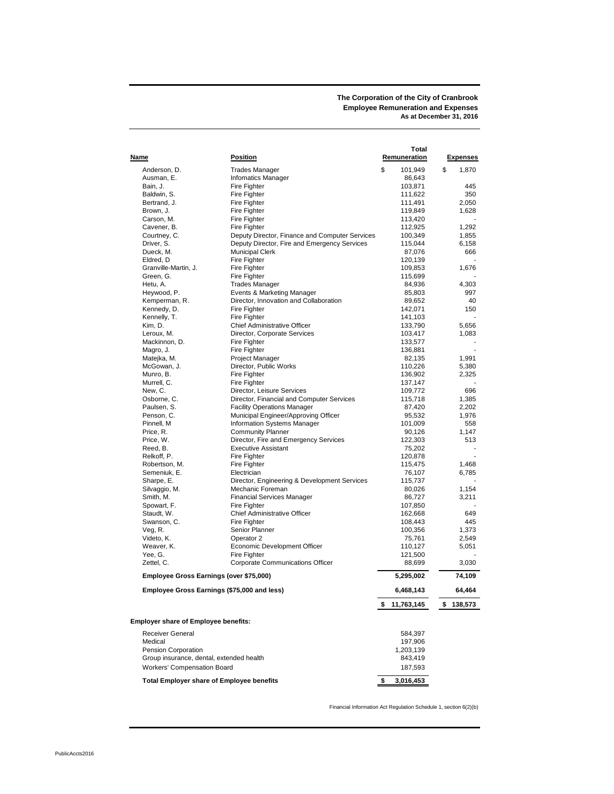**The Corporation of the City of Cranbrook Employee Remuneration and Expenses As at December 31, 2016**

|                                                  |                                                | Total           |                 |
|--------------------------------------------------|------------------------------------------------|-----------------|-----------------|
| Name                                             | Position                                       | Remuneration    | <b>Expenses</b> |
|                                                  |                                                |                 |                 |
| Anderson, D.                                     | <b>Trades Manager</b>                          | \$<br>101,949   | \$<br>1,870     |
| Ausman, E.                                       | <b>Infomatics Manager</b>                      | 86,643          |                 |
| Bain, J.                                         | Fire Fighter                                   | 103,871         | 445             |
| Baldwin, S.                                      | Fire Fighter                                   | 111,622         | 350             |
| Bertrand, J.                                     | <b>Fire Fighter</b>                            | 111,491         | 2,050           |
| Brown, J.                                        | Fire Fighter                                   | 119,849         | 1,628           |
| Carson, M.                                       | <b>Fire Fighter</b>                            | 113,420         |                 |
| Cavener, B.                                      | <b>Fire Fighter</b>                            | 112,925         | 1,292           |
| Courtney, C.                                     | Deputy Director, Finance and Computer Services | 100,349         | 1,855           |
| Driver, S.                                       | Deputy Director, Fire and Emergency Services   | 115,044         | 6,158           |
| Dueck, M.                                        | <b>Municipal Clerk</b>                         | 87,076          | 666             |
| Eldred, D                                        | <b>Fire Fighter</b>                            | 120,139         |                 |
| Granville-Martin, J.                             | Fire Fighter                                   | 109,853         | 1,676           |
| Green, G.                                        | Fire Fighter                                   | 115,699         |                 |
| Hetu, A.                                         | <b>Trades Manager</b>                          | 84,936          | 4,303           |
| Heywood, P.                                      | Events & Marketing Manager                     | 85,803          | 997             |
|                                                  | Director, Innovation and Collaboration         |                 | 40              |
| Kemperman, R.                                    |                                                | 89,652          |                 |
| Kennedy, D.                                      | Fire Fighter                                   | 142,071         | 150             |
| Kennelly, T.                                     | Fire Fighter                                   | 141,103         |                 |
| Kim, D.                                          | Chief Administrative Officer                   | 133,790         | 5,656           |
| Leroux, M.                                       | Director, Corporate Services                   | 103,417         | 1,083           |
| Mackinnon, D.                                    | Fire Fighter                                   | 133,577         |                 |
| Magro, J.                                        | Fire Fighter                                   | 136,881         |                 |
| Matejka, M.                                      | Project Manager                                | 82,135          | 1,991           |
| McGowan, J.                                      | Director, Public Works                         | 110,226         | 5,380           |
| Munro, B.                                        | Fire Fighter                                   | 136,902         | 2,325           |
| Murrell, C.                                      | Fire Fighter                                   | 137,147         |                 |
| New, C.                                          | Director, Leisure Services                     | 109,772         | 696             |
| Osborne, C.                                      | Director, Financial and Computer Services      | 115,718         | 1.385           |
| Paulsen, S.                                      | <b>Facility Operations Manager</b>             | 87,420          | 2,202           |
| Penson, C.                                       | Municipal Engineer/Approving Officer           | 95,532          | 1,976           |
| Pinnell, M                                       | <b>Information Systems Manager</b>             | 101,009         | 558             |
| Price, R.                                        | <b>Community Planner</b>                       | 90,126          | 1,147           |
| Price, W.                                        | Director, Fire and Emergency Services          | 122,303         | 513             |
| Reed, B.                                         | <b>Executive Assistant</b>                     | 75,202          |                 |
| Relkoff, P.                                      | Fire Fighter                                   | 120,878         |                 |
|                                                  | Fire Fighter                                   |                 |                 |
| Robertson, M.                                    |                                                | 115,475         | 1,468           |
| Semeniuk, E.                                     | Electrician                                    | 76,107          | 6,785           |
| Sharpe, E.                                       | Director, Engineering & Development Services   | 115,737         |                 |
| Silvaggio, M.                                    | Mechanic Foreman                               | 80,026          | 1,154           |
| Smith, M.                                        | <b>Financial Services Manager</b>              | 86,727          | 3,211           |
| Spowart, F.                                      | <b>Fire Fighter</b>                            | 107,850         |                 |
| Staudt, W.                                       | Chief Administrative Officer                   | 162,668         | 649             |
| Swanson, C.                                      | Fire Fighter                                   | 108,443         | 445             |
| Veg, R.                                          | Senior Planner                                 | 100,356         | 1,373           |
| Videto, K.                                       | Operator 2                                     | 75,761          | 2,549           |
| Weaver, K.                                       | Economic Development Officer                   | 110,127         | 5,051           |
| Yee, G.                                          | Fire Fighter                                   | 121,500         |                 |
| Zettel, C.                                       | Corporate Communications Officer               | 88,699          | 3,030           |
| Employee Gross Earnings (over \$75,000)          |                                                | 5,295,002       | 74,109          |
| Employee Gross Earnings (\$75,000 and less)      |                                                | 6,468,143       | 64,464          |
|                                                  |                                                | \$11,763,145    | \$138,573       |
| <b>Employer share of Employee benefits:</b>      |                                                |                 |                 |
|                                                  |                                                |                 |                 |
| Receiver General                                 |                                                | 584,397         |                 |
| Medical                                          |                                                | 197,906         |                 |
| Pension Corporation                              |                                                | 1,203,139       |                 |
| Group insurance, dental, extended health         |                                                | 843,419         |                 |
| <b>Workers' Compensation Board</b>               |                                                | 187,593         |                 |
| <b>Total Employer share of Employee benefits</b> |                                                | \$<br>3,016,453 |                 |

Financial Information Act Regulation Schedule 1, section 6(2)(b)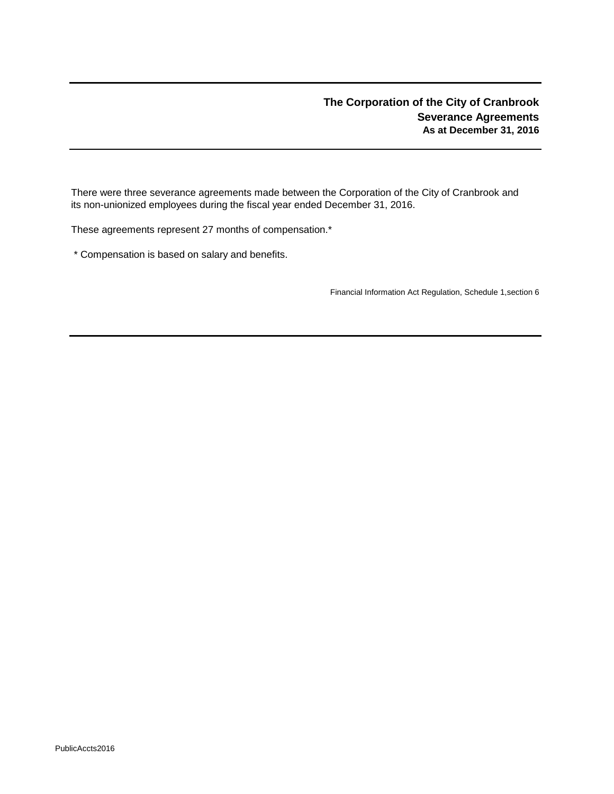# **The Corporation of the City of Cranbrook Severance Agreements As at December 31, 2016**

There were three severance agreements made between the Corporation of the City of Cranbrook and its non-unionized employees during the fiscal year ended December 31, 2016.

These agreements represent 27 months of compensation.\*

\* Compensation is based on salary and benefits.

Financial Information Act Regulation, Schedule 1,section 6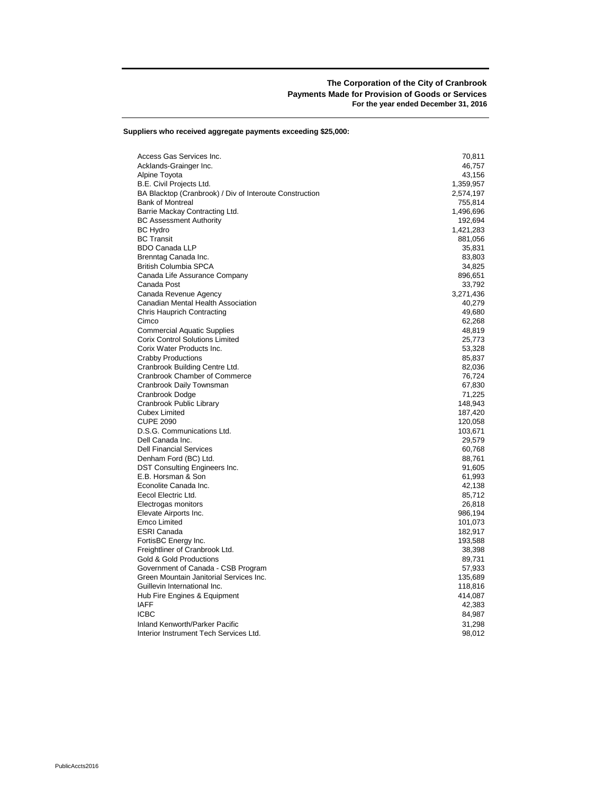**Suppliers who received aggregate payments exceeding \$25,000:**

| Access Gas Services Inc.                                | 70,811    |
|---------------------------------------------------------|-----------|
| Acklands-Grainger Inc.                                  | 46,757    |
| Alpine Toyota                                           | 43,156    |
| B.E. Civil Projects Ltd.                                | 1,359,957 |
| BA Blacktop (Cranbrook) / Div of Interoute Construction | 2,574,197 |
| <b>Bank of Montreal</b>                                 | 755,814   |
| Barrie Mackay Contracting Ltd.                          | 1,496,696 |
| <b>BC Assessment Authority</b>                          | 192,694   |
| <b>BC Hydro</b>                                         | 1,421,283 |
| <b>BC</b> Transit                                       | 881,056   |
| <b>BDO Canada LLP</b>                                   | 35,831    |
| Brenntag Canada Inc.                                    | 83,803    |
| <b>British Columbia SPCA</b>                            | 34,825    |
| Canada Life Assurance Company                           | 896,651   |
| Canada Post                                             | 33,792    |
| Canada Revenue Agency                                   | 3,271,436 |
| Canadian Mental Health Association                      | 40,279    |
| <b>Chris Hauprich Contracting</b>                       | 49,680    |
| Cimco                                                   | 62,268    |
| <b>Commercial Aquatic Supplies</b>                      | 48,819    |
| <b>Corix Control Solutions Limited</b>                  | 25,773    |
| Corix Water Products Inc.                               | 53,328    |
| <b>Crabby Productions</b>                               | 85,837    |
| Cranbrook Building Centre Ltd.                          | 82,036    |
| Cranbrook Chamber of Commerce                           | 76,724    |
| Cranbrook Daily Townsman                                | 67,830    |
| Cranbrook Dodge                                         | 71,225    |
| Cranbrook Public Library                                | 148,943   |
| <b>Cubex Limited</b>                                    | 187,420   |
| <b>CUPE 2090</b>                                        | 120,058   |
| D.S.G. Communications Ltd.                              | 103,671   |
| Dell Canada Inc.                                        | 29,579    |
| <b>Dell Financial Services</b>                          | 60,768    |
| Denham Ford (BC) Ltd.                                   | 88,761    |
| DST Consulting Engineers Inc.                           | 91,605    |
| E.B. Horsman & Son                                      | 61,993    |
| Econolite Canada Inc.                                   | 42,138    |
| Eecol Electric Ltd.                                     | 85,712    |
| Electrogas monitors                                     | 26,818    |
| Elevate Airports Inc.                                   | 986,194   |
| Emco Limited                                            | 101,073   |
| <b>ESRI Canada</b>                                      | 182,917   |
| FortisBC Energy Inc.                                    | 193,588   |
| Freightliner of Cranbrook Ltd.                          | 38,398    |
| Gold & Gold Productions                                 | 89,731    |
| Government of Canada - CSB Program                      | 57,933    |
| Green Mountain Janitorial Services Inc.                 | 135,689   |
| Guillevin International Inc.                            | 118,816   |
| Hub Fire Engines & Equipment                            | 414,087   |
| <b>IAFF</b>                                             | 42,383    |
| <b>ICBC</b>                                             | 84,987    |
| Inland Kenworth/Parker Pacific                          | 31,298    |
| Interior Instrument Tech Services Ltd.                  | 98,012    |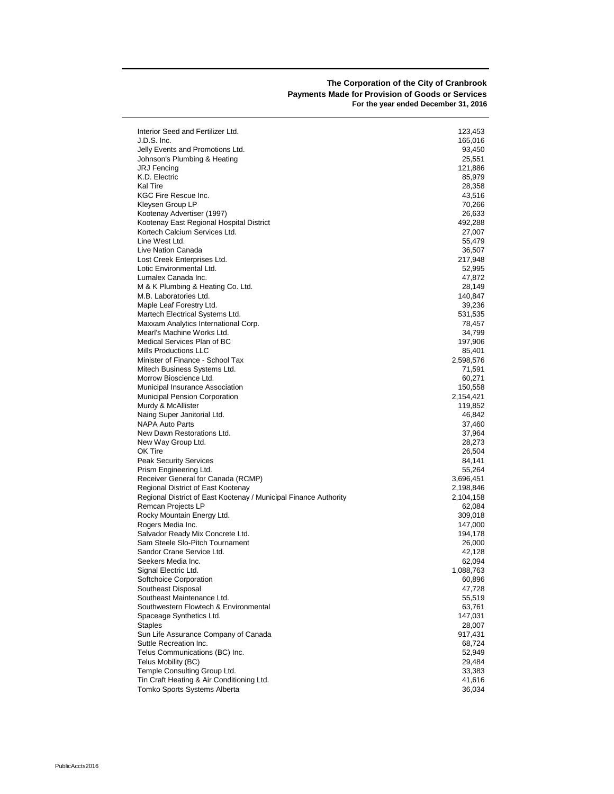#### **The Corporation of the City of Cranbrook Payments Made for Provision of Goods or Services For the year ended December 31, 2016**

| Interior Seed and Fertilizer Ltd.                                | 123,453          |
|------------------------------------------------------------------|------------------|
| J.D.S. Inc.                                                      | 165,016          |
| Jelly Events and Promotions Ltd.                                 | 93,450           |
| Johnson's Plumbing & Heating                                     | 25,551           |
| JRJ Fencing                                                      | 121,886          |
| K.D. Electric<br>Kal Tire                                        | 85,979           |
| KGC Fire Rescue Inc.                                             | 28,358<br>43,516 |
| Kleysen Group LP                                                 | 70,266           |
| Kootenay Advertiser (1997)                                       | 26,633           |
| Kootenay East Regional Hospital District                         | 492,288          |
| Kortech Calcium Services Ltd.                                    | 27,007           |
| Line West Ltd.                                                   | 55,479           |
| Live Nation Canada                                               | 36,507           |
| Lost Creek Enterprises Ltd.                                      | 217,948          |
| Lotic Environmental Ltd.                                         | 52,995           |
| Lumalex Canada Inc.                                              | 47,872           |
| M & K Plumbing & Heating Co. Ltd.                                | 28,149           |
| M.B. Laboratories Ltd.                                           | 140,847          |
| Maple Leaf Forestry Ltd.                                         | 39,236           |
| Martech Electrical Systems Ltd.                                  | 531,535          |
| Maxxam Analytics International Corp.                             | 78,457           |
| Mearl's Machine Works Ltd.                                       | 34,799           |
| Medical Services Plan of BC                                      | 197,906          |
| Mills Productions LLC                                            | 85,401           |
| Minister of Finance - School Tax                                 | 2,598,576        |
| Mitech Business Systems Ltd.<br>Morrow Bioscience Ltd.           | 71,591<br>60,271 |
| Municipal Insurance Association                                  | 150,558          |
| <b>Municipal Pension Corporation</b>                             | 2,154,421        |
| Murdy & McAllister                                               | 119,852          |
| Naing Super Janitorial Ltd.                                      | 46,842           |
| <b>NAPA Auto Parts</b>                                           | 37,460           |
| New Dawn Restorations Ltd.                                       | 37,964           |
| New Way Group Ltd.                                               | 28,273           |
| OK Tire                                                          | 26,504           |
| <b>Peak Security Services</b>                                    | 84,141           |
| Prism Engineering Ltd.                                           | 55,264           |
| Receiver General for Canada (RCMP)                               | 3,696,451        |
| Regional District of East Kootenay                               | 2,198,846        |
| Regional District of East Kootenay / Municipal Finance Authority | 2,104,158        |
| Remcan Projects LP                                               | 62,084           |
| Rocky Mountain Energy Ltd.                                       | 309,018          |
| Rogers Media Inc.                                                | 147,000          |
| Salvador Ready Mix Concrete Ltd.                                 | 194,178          |
| Sam Steele Slo-Pitch Tournament                                  | 26,000           |
| Sandor Crane Service Ltd.                                        | 42,128           |
| Seekers Media Inc.                                               | 62,094           |
| Signal Electric Ltd.                                             | 1,088,763        |
| Softchoice Corporation<br>Southeast Disposal                     | 60,896           |
| Southeast Maintenance Ltd.                                       | 47,728<br>55,519 |
| Southwestern Flowtech & Environmental                            | 63,761           |
| Spaceage Synthetics Ltd.                                         | 147,031          |
| <b>Staples</b>                                                   | 28,007           |
| Sun Life Assurance Company of Canada                             | 917,431          |
| Suttle Recreation Inc.                                           | 68,724           |
| Telus Communications (BC) Inc.                                   | 52,949           |
| Telus Mobility (BC)                                              | 29,484           |
| Temple Consulting Group Ltd.                                     | 33,383           |
| Tin Craft Heating & Air Conditioning Ltd.                        | 41,616           |
| Tomko Sports Systems Alberta                                     | 36,034           |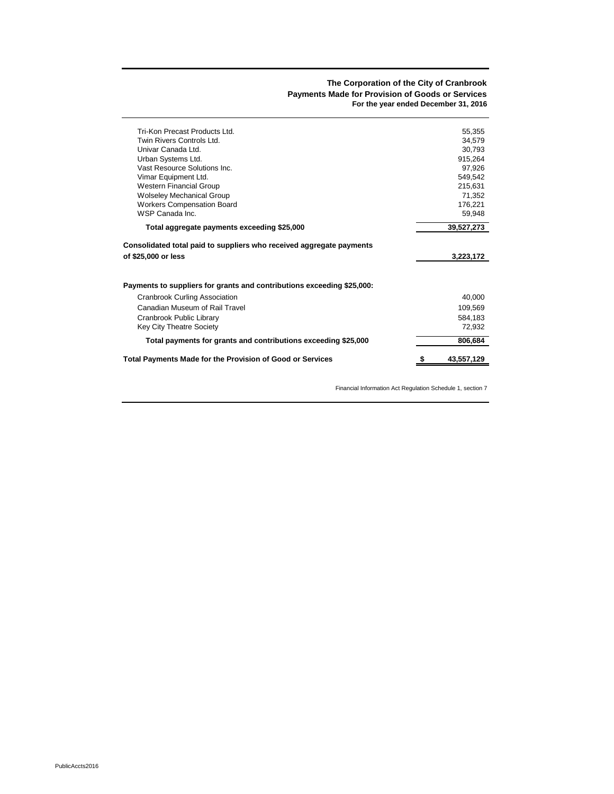#### **The Corporation of the City of Cranbrook Payments Made for Provision of Goods or Services For the year ended December 31, 2016**

| Cranbrook Public Library<br>Key City Theatre Society<br>Total payments for grants and contributions exceeding \$25,000 | 584,183<br>72,932<br>806,684 |
|------------------------------------------------------------------------------------------------------------------------|------------------------------|
|                                                                                                                        |                              |
|                                                                                                                        |                              |
|                                                                                                                        |                              |
| Canadian Museum of Rail Travel                                                                                         | 109,569                      |
| Cranbrook Curling Association                                                                                          | 40,000                       |
| Payments to suppliers for grants and contributions exceeding \$25,000:                                                 |                              |
| of \$25,000 or less                                                                                                    | 3,223,172                    |
| Consolidated total paid to suppliers who received aggregate payments                                                   |                              |
| Total aggregate payments exceeding \$25,000                                                                            | 39,527,273                   |
| WSP Canada Inc.                                                                                                        | 59,948                       |
| <b>Wolseley Mechanical Group</b><br><b>Workers Compensation Board</b>                                                  | 71,352<br>176,221            |
| <b>Western Financial Group</b>                                                                                         | 215,631                      |
| Vimar Equipment Ltd.                                                                                                   | 549,542                      |
| Vast Resource Solutions Inc.                                                                                           | 97.926                       |
| Urban Systems Ltd.                                                                                                     | 915,264                      |
|                                                                                                                        | 34.579<br>30,793             |
| Twin Rivers Controls Ltd.<br>Univar Canada Ltd.                                                                        |                              |

Financial Information Act Regulation Schedule 1, section 7